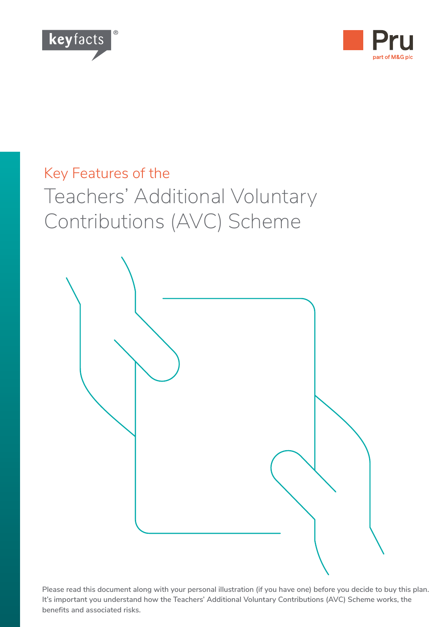



# Key Features of the Teachers' Additional Voluntary Contributions (AVC) Scheme



**Please read this document along with your personal illustration (if you have one) before you decide to buy this plan. It's important you understand how the Teachers' Additional Voluntary Contributions (AVC) Scheme works, the benefits and associated risks.**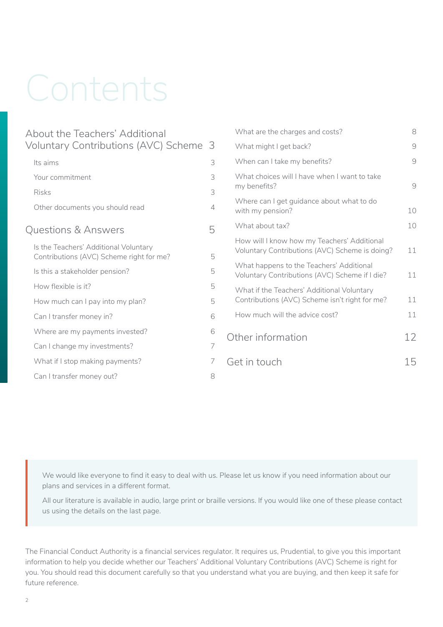# Contents

| About the Teachers' Additional                                                    |   | What are the charges and costs?                                                               | 8              |
|-----------------------------------------------------------------------------------|---|-----------------------------------------------------------------------------------------------|----------------|
| Voluntary Contributions (AVC) Scheme 3                                            |   | What might I get back?                                                                        | $\mathcal{Q}$  |
| Its aims                                                                          | 3 | When can I take my benefits?                                                                  | 9              |
| Your commitment                                                                   | 3 | What choices will I have when I want to take<br>my benefits?                                  |                |
| <b>Risks</b>                                                                      | 3 |                                                                                               | $\overline{9}$ |
| Other documents you should read                                                   | 4 | Where can I get guidance about what to do<br>with my pension?                                 | 10             |
| Questions & Answers                                                               | 5 | What about tax?                                                                               | 10             |
| Is the Teachers' Additional Voluntary<br>Contributions (AVC) Scheme right for me? | 5 | How will I know how my Teachers' Additional<br>Voluntary Contributions (AVC) Scheme is doing? | 11             |
| Is this a stakeholder pension?                                                    | 5 | What happens to the Teachers' Additional<br>Voluntary Contributions (AVC) Scheme if I die?    | 11             |
| How flexible is it?                                                               | 5 | What if the Teachers' Additional Voluntary<br>Contributions (AVC) Scheme isn't right for me?  |                |
| How much can I pay into my plan?                                                  | 5 |                                                                                               | 11             |
| Can I transfer money in?                                                          | 6 | How much will the advice cost?                                                                | 11             |
| Where are my payments invested?                                                   | 6 | Other information                                                                             | 12             |
| Can I change my investments?                                                      | 7 |                                                                                               |                |
| What if I stop making payments?                                                   | 7 | Get in touch                                                                                  | 15             |
| Can I transfer money out?                                                         | 8 |                                                                                               |                |

We would like everyone to find it easy to deal with us. Please let us know if you need information about our plans and services in a different format.

All our literature is available in audio, large print or braille versions. If you would like one of these please contact us using the details on the last page.

The Financial Conduct Authority is a financial services regulator. It requires us, Prudential, to give you this important information to help you decide whether our Teachers' Additional Voluntary Contributions (AVC) Scheme is right for you. You should read this document carefully so that you understand what you are buying, and then keep it safe for future reference.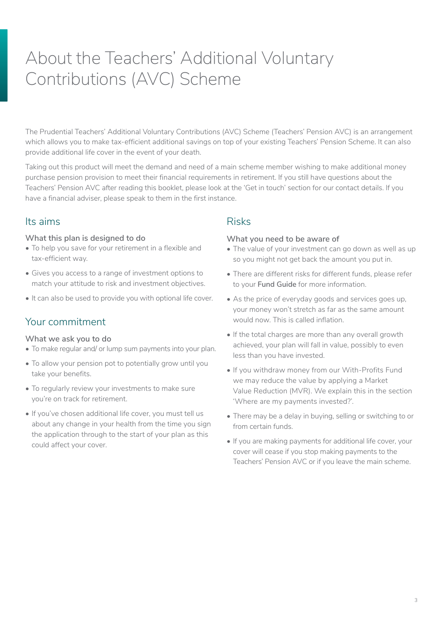# <span id="page-2-0"></span>About the Teachers' Additional Voluntary Contributions (AVC) Scheme

The Prudential Teachers' Additional Voluntary Contributions (AVC) Scheme (Teachers' Pension AVC) is an arrangement which allows you to make tax-efficient additional savings on top of your existing Teachers' Pension Scheme. It can also provide additional life cover in the event of your death.

Taking out this product will meet the demand and need of a main scheme member wishing to make additional money purchase pension provision to meet their financial requirements in retirement. If you still have questions about the Teachers' Pension AVC after reading this booklet, please look at the 'Get in touch' section for our contact details. If you have a financial adviser, please speak to them in the first instance.

# Its aims

#### **What this plan is designed to do**

- To help you save for your retirement in a flexible and tax-efficient way.
- Gives you access to a range of investment options to match your attitude to risk and investment objectives.
- It can also be used to provide you with optional life cover.

# Your commitment

#### **What we ask you to do**

- To make regular and/ or lump sum payments into your plan.
- To allow your pension pot to potentially grow until you take your benefits.
- To regularly review your investments to make sure you're on track for retirement.
- If you've chosen additional life cover, you must tell us about any change in your health from the time you sign the application through to the start of your plan as this could affect your cover.

## Risks

#### **What you need to be aware of**

- The value of your investment can go down as well as up so you might not get back the amount you put in.
- There are different risks for different funds, please refer to your **Fund Guide** for more information.
- As the price of everyday goods and services goes up, your money won't stretch as far as the same amount would now. This is called inflation.
- If the total charges are more than any overall growth achieved, your plan will fall in value, possibly to even less than you have invested.
- If you withdraw money from our With-Profits Fund we may reduce the value by applying a Market Value Reduction (MVR). We explain this in the section 'Where are my payments invested?'.
- There may be a delay in buying, selling or switching to or from certain funds.
- If you are making payments for additional life cover, your cover will cease if you stop making payments to the Teachers' Pension AVC or if you leave the main scheme.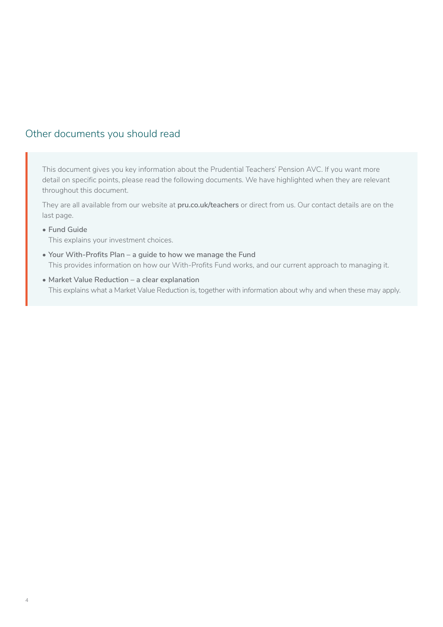# <span id="page-3-0"></span>Other documents you should read

This document gives you key information about the Prudential Teachers' Pension AVC. If you want more detail on specific points, please read the following documents. We have highlighted when they are relevant throughout this document.

They are all available from our website at **[pru.co.uk/teachers](https://www.pru.co.uk/rz/teachers/?utm_source=redirect&utm_medium=301&utm_campaign=/teachers/)** or direct from us. Our contact details are on the last page.

**• Fund Guide**

This explains your investment choices.

- **• Your With-Profits Plan a guide to how we manage the Fund** This provides information on how our With-Profits Fund works, and our current approach to managing it.
- **• Market Value Reduction a clear explanation** This explains what a Market Value Reduction is, together with information about why and when these may apply.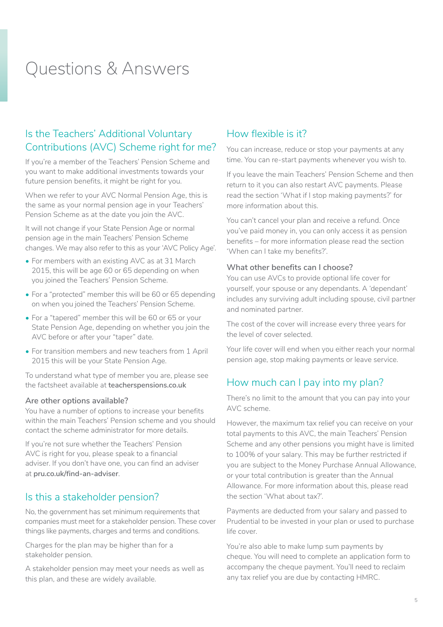# <span id="page-4-0"></span>Questions & Answers

# Is the Teachers' Additional Voluntary Contributions (AVC) Scheme right for me?

If you're a member of the Teachers' Pension Scheme and you want to make additional investments towards your future pension benefits, it might be right for you.

When we refer to your AVC Normal Pension Age, this is the same as your normal pension age in your Teachers' Pension Scheme as at the date you join the AVC.

It will not change if your State Pension Age or normal pension age in the main Teachers' Pension Scheme changes. We may also refer to this as your 'AVC Policy Age'.

- For members with an existing AVC as at 31 March 2015, this will be age 60 or 65 depending on when you joined the Teachers' Pension Scheme.
- For a "protected" member this will be 60 or 65 depending on when you joined the Teachers' Pension Scheme.
- For a "tapered" member this will be 60 or 65 or your State Pension Age, depending on whether you join the AVC before or after your "taper" date.
- For transition members and new teachers from 1 April 2015 this will be your State Pension Age.

To understand what type of member you are, please see the factsheet available at **[teacherspensions.co.uk](http://www.teacherspensions.co.uk)**

#### **Are other options available?**

You have a number of options to increase your benefits within the main Teachers' Pension scheme and you should contact the scheme administrator for more details.

If you're not sure whether the Teachers' Pension AVC is right for you, please speak to a financial adviser. If you don't have one, you can find an adviser at **[pru.co.uk/find-an-adviser](http://www.pru.co.uk/find-an-adviser)**.

### Is this a stakeholder pension?

No, the government has set minimum requirements that companies must meet for a stakeholder pension. These cover things like payments, charges and terms and conditions.

Charges for the plan may be higher than for a stakeholder pension.

A stakeholder pension may meet your needs as well as this plan, and these are widely available.

# How flexible is it?

You can increase, reduce or stop your payments at any time. You can re-start payments whenever you wish to.

If you leave the main Teachers' Pension Scheme and then return to it you can also restart AVC payments. Please read the section 'What if I stop making payments?' for more information about this.

You can't cancel your plan and receive a refund. Once you've paid money in, you can only access it as pension benefits – for more information please read the section 'When can I take my benefits?'.

#### **What other benefits can I choose?**

You can use AVCs to provide optional life cover for yourself, your spouse or any dependants. A 'dependant' includes any surviving adult including spouse, civil partner and nominated partner.

The cost of the cover will increase every three years for the level of cover selected.

Your life cover will end when you either reach your normal pension age, stop making payments or leave service.

# How much can I pay into my plan?

There's no limit to the amount that you can pay into your AVC scheme.

However, the maximum tax relief you can receive on your total payments to this AVC, the main Teachers' Pension Scheme and any other pensions you might have is limited to 100% of your salary. This may be further restricted if you are subject to the Money Purchase Annual Allowance, or your total contribution is greater than the Annual Allowance. For more information about this, please read the section 'What about tax?'.

Payments are deducted from your salary and passed to Prudential to be invested in your plan or used to purchase life cover.

You're also able to make lump sum payments by cheque. You will need to complete an application form to accompany the cheque payment. You'll need to reclaim any tax relief you are due by contacting HMRC.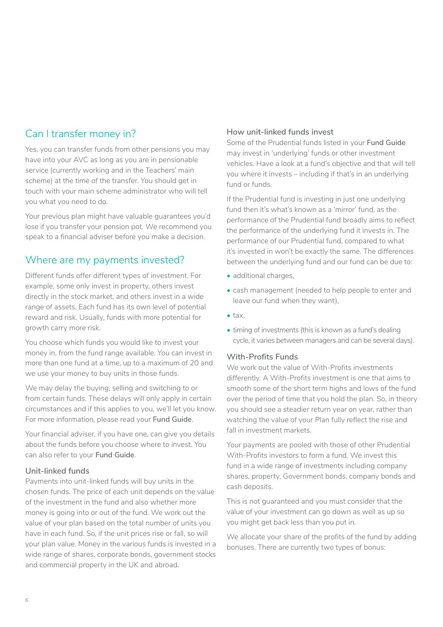# <span id="page-5-0"></span>Can I transfer money in?

Yes, you can transfer funds from other pensions you may have into your AVC as long as you are in pensionable service (currently working and in the Teachers' main scheme) at the time of the transfer. You should get in touch with your main scheme administrator who will tell you what you need to do.

Your previous plan might have valuable guarantees you'd lose if you transfer your pension pot. We recommend you speak to a financial adviser before you make a decision.

# Where are my payments invested?

Different funds offer different types of investment. For example, some only invest in property, others invest directly in the stock market, and others invest in a wide range of assets. Each fund has its own level of potential reward and risk. Usually, funds with more potential for growth carry more risk.

You choose which funds you would like to invest your money in, from the fund range available. You can invest in more than one fund at a time, up to a maximum of 20 and we use your money to buy units in those funds.

We may delay the buying, selling and switching to or from certain funds. These delays will only apply in certain circumstances and if this applies to you, we'll let you know. For more information, please read your **Fund Guide**.

Your financial adviser, if you have one, can give you details about the funds before you choose where to invest. You can also refer to your **Fund Guide**.

#### **Unit-linked funds**

Payments into unit-linked funds will buy units in the chosen funds. The price of each unit depends on the value of the investment in the fund and also whether more money is going into or out of the fund. We work out the value of your plan based on the total number of units you have in each fund. So, if the unit prices rise or fall, so will your plan value. Money in the various funds is invested in a wide range of shares, corporate bonds, government stocks and commercial property in the UK and abroad.

#### **How unit-linked funds invest**

Some of the Prudential funds listed in your **Fund Guide**  may invest in 'underlying' funds or other investment vehicles. Have a look at a fund's objective and that will tell you where it invests – including if that's in an underlying fund or funds.

If the Prudential fund is investing in just one underlying fund then it's what's known as a 'mirror' fund, as the performance of the Prudential fund broadly aims to reflect the performance of the underlying fund it invests in. The performance of our Prudential fund, compared to what it's invested in won't be exactly the same. The differences between the underlying fund and our fund can be due to:

- additional charges.
- cash management (needed to help people to enter and leave our fund when they want),
- tax,
- timing of investments (this is known as a fund's dealing cycle, it varies between managers and can be several days).

#### **With-Profits Funds**

We work out the value of With-Profits investments differently. A With-Profits investment is one that aims to smooth some of the short term highs and lows of the fund over the period of time that you hold the plan. So, in theory you should see a steadier return year on year, rather than watching the value of your Plan fully reflect the rise and fall in investment markets.

Your payments are pooled with those of other Prudential With-Profits investors to form a fund. We invest this fund in a wide range of investments including company shares, property, Government bonds, company bonds and cash deposits.

This is not guaranteed and you must consider that the value of your investment can go down as well as up so you might get back less than you put in.

We allocate your share of the profits of the fund by adding bonuses. There are currently two types of bonus: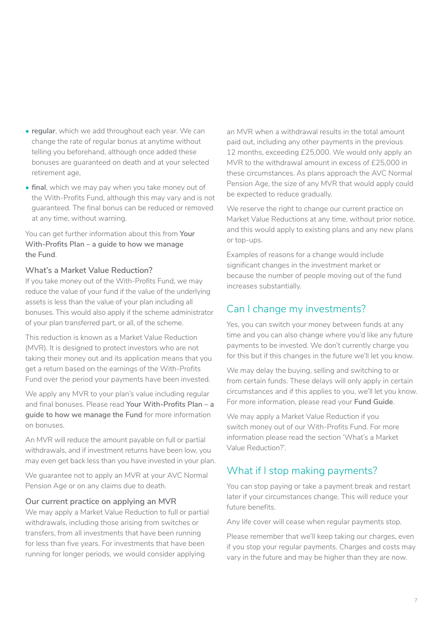- <span id="page-6-0"></span>**• regular**, which we add throughout each year. We can change the rate of regular bonus at anytime without telling you beforehand, although once added these bonuses are guaranteed on death and at your selected retirement age,
- **• final**, which we may pay when you take money out of the With-Profits Fund, although this may vary and is not guaranteed. The final bonus can be reduced or removed at any time, without warning.

You can get further information about this from **Your With-Profits Plan – a guide to how we manage the Fund**.

#### **What's a Market Value Reduction?**

If you take money out of the With-Profits Fund, we may reduce the value of your fund if the value of the underlying assets is less than the value of your plan including all bonuses. This would also apply if the scheme administrator of your plan transferred part, or all, of the scheme.

This reduction is known as a Market Value Reduction (MVR). It is designed to protect investors who are not taking their money out and its application means that you get a return based on the earnings of the With-Profits Fund over the period your payments have been invested.

We apply any MVR to your plan's value including regular and final bonuses. Please read **Your With-Profits Plan – a guide to how we manage the Fund** for more information on bonuses.

An MVR will reduce the amount payable on full or partial withdrawals, and if investment returns have been low, you may even get back less than you have invested in your plan.

We guarantee not to apply an MVR at your AVC Normal Pension Age or on any claims due to death.

#### **Our current practice on applying an MVR**

We may apply a Market Value Reduction to full or partial withdrawals, including those arising from switches or transfers, from all investments that have been running for less than five years. For investments that have been running for longer periods, we would consider applying

an MVR when a withdrawal results in the total amount paid out, including any other payments in the previous 12 months, exceeding £25,000. We would only apply an MVR to the withdrawal amount in excess of £25,000 in these circumstances. As plans approach the AVC Normal Pension Age, the size of any MVR that would apply could be expected to reduce gradually.

We reserve the right to change our current practice on Market Value Reductions at any time, without prior notice, and this would apply to existing plans and any new plans or top-ups.

Examples of reasons for a change would include significant changes in the investment market or because the number of people moving out of the fund increases substantially.

# Can I change my investments?

Yes, you can switch your money between funds at any time and you can also change where you'd like any future payments to be invested. We don't currently charge you for this but if this changes in the future we'll let you know.

We may delay the buying, selling and switching to or from certain funds. These delays will only apply in certain circumstances and if this applies to you, we'll let you know. For more information, please read your **Fund Guide**.

We may apply a Market Value Reduction if you switch money out of our With-Profits Fund. For more information please read the section 'What's a Market Value Reduction?'.

# What if I stop making payments?

You can stop paying or take a payment break and restart later if your circumstances change. This will reduce your future benefits.

Any life cover will cease when regular payments stop.

Please remember that we'll keep taking our charges, even if you stop your regular payments. Charges and costs may vary in the future and may be higher than they are now.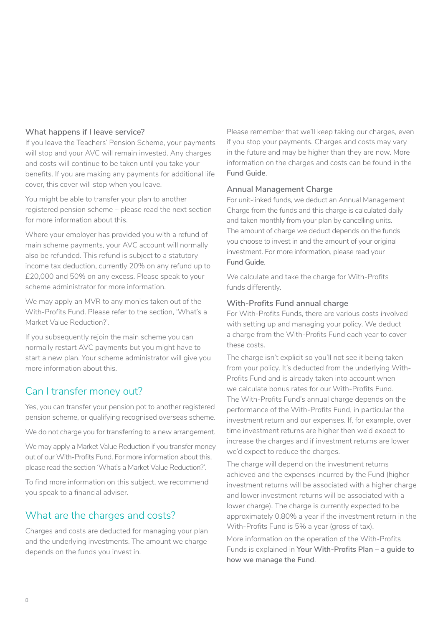#### <span id="page-7-0"></span>**What happens if I leave service?**

If you leave the Teachers' Pension Scheme, your payments will stop and your AVC will remain invested. Any charges and costs will continue to be taken until you take your benefits. If you are making any payments for additional life cover, this cover will stop when you leave.

You might be able to transfer your plan to another registered pension scheme – please read the next section for more information about this.

Where your employer has provided you with a refund of main scheme payments, your AVC account will normally also be refunded. This refund is subject to a statutory income tax deduction, currently 20% on any refund up to £20,000 and 50% on any excess. Please speak to your scheme administrator for more information.

We may apply an MVR to any monies taken out of the With-Profits Fund. Please refer to the section, 'What's a Market Value Reduction?'.

If you subsequently rejoin the main scheme you can normally restart AVC payments but you might have to start a new plan. Your scheme administrator will give you more information about this.

## Can I transfer money out?

Yes, you can transfer your pension pot to another registered pension scheme, or qualifying recognised overseas scheme.

We do not charge you for transferring to a new arrangement.

We may apply a Market Value Reduction if you transfer money out of our With-Profits Fund. For more information about this, please read the section 'What's a Market Value Reduction?'.

To find more information on this subject, we recommend you speak to a financial adviser.

# What are the charges and costs?

Charges and costs are deducted for managing your plan and the underlying investments. The amount we charge depends on the funds you invest in.

Please remember that we'll keep taking our charges, even if you stop your payments. Charges and costs may vary in the future and may be higher than they are now. More information on the charges and costs can be found in the **Fund Guide**.

#### **Annual Management Charge**

For unit-linked funds, we deduct an Annual Management Charge from the funds and this charge is calculated daily and taken monthly from your plan by cancelling units. The amount of charge we deduct depends on the funds you choose to invest in and the amount of your original investment. For more information, please read your **Fund Guide**.

We calculate and take the charge for With-Profits funds differently.

#### **With-Profits Fund annual charge**

For With-Profits Funds, there are various costs involved with setting up and managing your policy. We deduct a charge from the With-Profits Fund each year to cover these costs.

The charge isn't explicit so you'll not see it being taken from your policy. It's deducted from the underlying With-Profits Fund and is already taken into account when we calculate bonus rates for our With-Profits Fund. The With-Profits Fund's annual charge depends on the performance of the With-Profits Fund, in particular the investment return and our expenses. If, for example, over time investment returns are higher then we'd expect to increase the charges and if investment returns are lower we'd expect to reduce the charges.

The charge will depend on the investment returns achieved and the expenses incurred by the Fund (higher investment returns will be associated with a higher charge and lower investment returns will be associated with a lower charge). The charge is currently expected to be approximately 0.80% a year if the investment return in the With-Profits Fund is 5% a year (gross of tax).

More information on the operation of the With-Profits Funds is explained in **Your With-Profits Plan – a guide to how we manage the Fund**.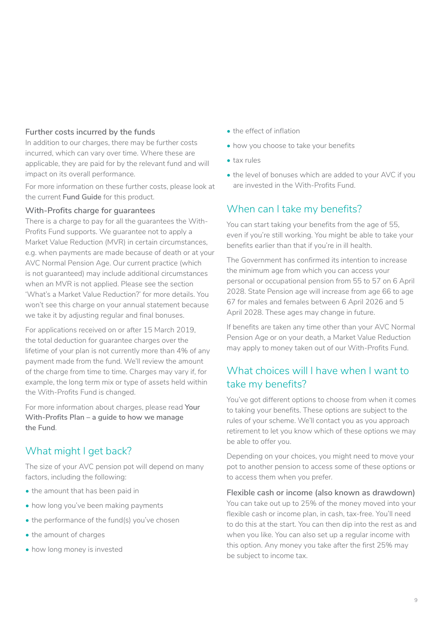#### <span id="page-8-0"></span>**Further costs incurred by the funds**

In addition to our charges, there may be further costs incurred, which can vary over time. Where these are applicable, they are paid for by the relevant fund and will impact on its overall performance.

For more information on these further costs, please look at the current **Fund Guide** for this product.

#### **With-Profits charge for guarantees**

There is a charge to pay for all the guarantees the With-Profits Fund supports. We guarantee not to apply a Market Value Reduction (MVR) in certain circumstances, e.g. when payments are made because of death or at your AVC Normal Pension Age. Our current practice (which is not guaranteed) may include additional circumstances when an MVR is not applied. Please see the section 'What's a Market Value Reduction?' for more details. You won't see this charge on your annual statement because we take it by adjusting regular and final bonuses.

For applications received on or after 15 March 2019, the total deduction for guarantee charges over the lifetime of your plan is not currently more than 4% of any payment made from the fund. We'll review the amount of the charge from time to time. Charges may vary if, for example, the long term mix or type of assets held within the With-Profits Fund is changed.

For more information about charges, please read **Your With-Profits Plan – a guide to how we manage the Fund**.

# What might I get back?

The size of your AVC pension pot will depend on many factors, including the following:

- the amount that has been paid in
- how long you've been making payments
- the performance of the fund(s) you've chosen
- the amount of charges
- how long money is invested
- the effect of inflation
- how you choose to take your benefits
- tax rules
- the level of bonuses which are added to your AVC if you are invested in the With-Profits Fund.

# When can I take my benefits?

You can start taking your benefits from the age of 55, even if you're still working. You might be able to take your benefits earlier than that if you're in ill health.

The Government has confirmed its intention to increase the minimum age from which you can access your personal or occupational pension from 55 to 57 on 6 April 2028. State Pension age will increase from age 66 to age 67 for males and females between 6 April 2026 and 5 April 2028. These ages may change in future.

If benefits are taken any time other than your AVC Normal Pension Age or on your death, a Market Value Reduction may apply to money taken out of our With-Profits Fund.

# What choices will I have when I want to take my benefits?

You've got different options to choose from when it comes to taking your benefits. These options are subject to the rules of your scheme. We'll contact you as you approach retirement to let you know which of these options we may be able to offer you.

Depending on your choices, you might need to move your pot to another pension to access some of these options or to access them when you prefer.

**Flexible cash or income (also known as drawdown)** You can take out up to 25% of the money moved into your flexible cash or income plan, in cash, tax-free. You'll need to do this at the start. You can then dip into the rest as and when you like. You can also set up a regular income with this option. Any money you take after the first 25% may be subject to income tax.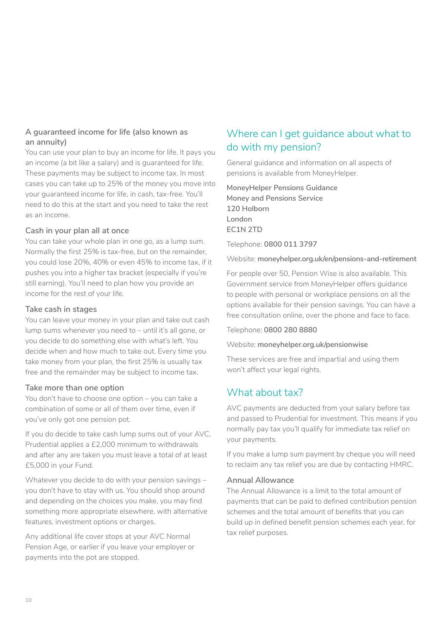#### <span id="page-9-0"></span>**A guaranteed income for life (also known as an annuity)**

You can use your plan to buy an income for life. It pays you an income (a bit like a salary) and is guaranteed for life. These payments may be subject to income tax. In most cases you can take up to 25% of the money you move into your guaranteed income for life, in cash, tax-free. You'll need to do this at the start and you need to take the rest as an income.

#### **Cash in your plan all at once**

You can take your whole plan in one go, as a lump sum. Normally the first 25% is tax-free, but on the remainder, you could lose 20%, 40% or even 45% to income tax, if it pushes you into a higher tax bracket (especially if you're still earning). You'll need to plan how you provide an income for the rest of your life.

#### **Take cash in stages**

You can leave your money in your plan and take out cash lump sums whenever you need to – until it's all gone, or you decide to do something else with what's left. You decide when and how much to take out. Every time you take money from your plan, the first 25% is usually tax free and the remainder may be subject to income tax.

#### **Take more than one option**

You don't have to choose one option – you can take a combination of some or all of them over time, even if you've only got one pension pot.

If you do decide to take cash lump sums out of your AVC, Prudential applies a £2,000 minimum to withdrawals and after any are taken you must leave a total of at least £5,000 in your Fund.

Whatever you decide to do with your pension savings – you don't have to stay with us. You should shop around and depending on the choices you make, you may find something more appropriate elsewhere, with alternative features, investment options or charges.

Any additional life cover stops at your AVC Normal Pension Age, or earlier if you leave your employer or payments into the pot are stopped.

# Where can I get guidance about what to do with my pension?

General guidance and information on all aspects of pensions is available from MoneyHelper.

**MoneyHelper Pensions Guidance Money and Pensions Service 120 Holborn London EC1N 2TD**

Telephone: **0800 011 3797**

Website: **[moneyhelper.org.uk/en/pensions-and-retirement](http://moneyhelper.org.uk/en/pensions-and-retirement)**

For people over 50, Pension Wise is also available. This Government service from MoneyHelper offers guidance to people with personal or workplace pensions on all the options available for their pension savings. You can have a free consultation online, over the phone and face to face.

Telephone: **0800 280 8880**

Website: **[moneyhelper.org.uk/pensionwise](http://moneyhelper.org.uk/pensionwise)**

These services are free and impartial and using them won't affect your legal rights.

# What about tax?

AVC payments are deducted from your salary before tax and passed to Prudential for investment. This means if you normally pay tax you'll qualify for immediate tax relief on your payments.

If you make a lump sum payment by cheque you will need to reclaim any tax relief you are due by contacting HMRC.

#### **Annual Allowance**

The Annual Allowance is a limit to the total amount of payments that can be paid to defined contribution pension schemes and the total amount of benefits that you can build up in defined benefit pension schemes each year, for tax relief purposes.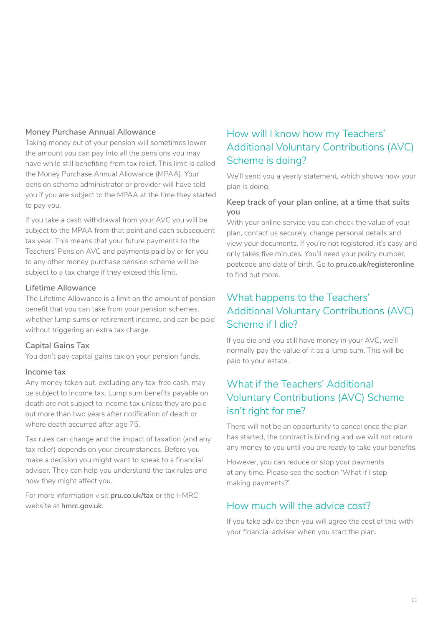#### <span id="page-10-0"></span>**Money Purchase Annual Allowance**

Taking money out of your pension will sometimes lower the amount you can pay into all the pensions you may have while still benefiting from tax relief. This limit is called the Money Purchase Annual Allowance (MPAA). Your pension scheme administrator or provider will have told you if you are subject to the MPAA at the time they started to pay you.

If you take a cash withdrawal from your AVC you will be subject to the MPAA from that point and each subsequent tax year. This means that your future payments to the Teachers' Pension AVC and payments paid by or for you to any other money purchase pension scheme will be subject to a tax charge if they exceed this limit.

#### **Lifetime Allowance**

The Lifetime Allowance is a limit on the amount of pension benefit that you can take from your pension schemes, whether lump sums or retirement income, and can be paid without triggering an extra tax charge.

#### **Capital Gains Tax**

You don't pay capital gains tax on your pension funds.

#### **Income tax**

Any money taken out, excluding any tax-free cash, may be subject to income tax. Lump sum benefits payable on death are not subject to income tax unless they are paid out more than two years after notification of death or where death occurred after age 75.

Tax rules can change and the impact of taxation (and any tax relief) depends on your circumstances. Before you make a decision you might want to speak to a financial adviser. They can help you understand the tax rules and how they might affect you.

For more information visit **[pru.co.uk/tax](http://www.pru.co.uk/tax)** or the HMRC website at **[hmrc.gov.uk](http://www.hmrc.gov.uk)**.

# How will I know how my Teachers' Additional Voluntary Contributions (AVC) Scheme is doing?

We'll send you a yearly statement, which shows how your plan is doing.

#### **Keep track of your plan online, at a time that suits you**

With your online service you can check the value of your plan, contact us securely, change personal details and view your documents. If you're not registered, it's easy and only takes five minutes. You'll need your policy number, postcode and date of birth. Go to **[pru.co.uk/registeronline](http://www.pru.co.uk/registeronline)** to find out more.

# What happens to the Teachers' Additional Voluntary Contributions (AVC) Scheme if I die?

If you die and you still have money in your AVC, we'll normally pay the value of it as a lump sum. This will be paid to your estate.

# What if the Teachers' Additional Voluntary Contributions (AVC) Scheme isn't right for me?

There will not be an opportunity to cancel once the plan has started, the contract is binding and we will not return any money to you until you are ready to take your benefits.

However, you can reduce or stop your payments at any time. Please see the section 'What if I stop making payments?'.

### How much will the advice cost?

If you take advice then you will agree the cost of this with your financial adviser when you start the plan.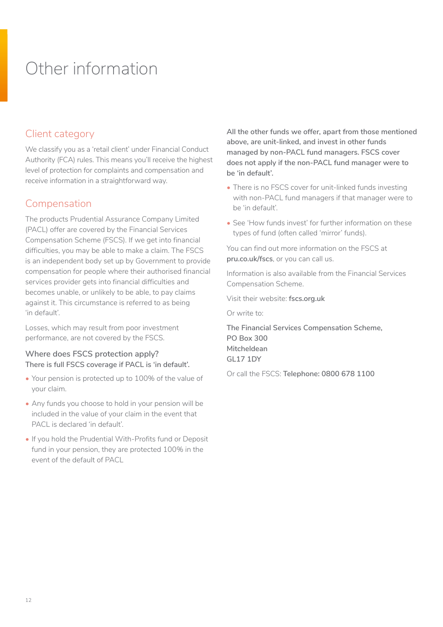# <span id="page-11-0"></span>Other information

# Client category

We classify you as a 'retail client' under Financial Conduct Authority (FCA) rules. This means you'll receive the highest level of protection for complaints and compensation and receive information in a straightforward way.

## Compensation

The products Prudential Assurance Company Limited (PACL) offer are covered by the Financial Services Compensation Scheme (FSCS). If we get into financial difficulties, you may be able to make a claim. The FSCS is an independent body set up by Government to provide compensation for people where their authorised financial services provider gets into financial difficulties and becomes unable, or unlikely to be able, to pay claims against it. This circumstance is referred to as being 'in default'.

Losses, which may result from poor investment performance, are not covered by the FSCS.

#### **Where does FSCS protection apply? There is full FSCS coverage if PACL is 'in default'.**

- Your pension is protected up to 100% of the value of your claim.
- Any funds you choose to hold in your pension will be included in the value of your claim in the event that PACL is declared 'in default'.
- If you hold the Prudential With-Profits fund or Deposit fund in your pension, they are protected 100% in the event of the default of PACL

**All the other funds we offer, apart from those mentioned above, are unit-linked, and invest in other funds managed by non-PACL fund managers. FSCS cover does not apply if the non-PACL fund manager were to be 'in default'.** 

- There is no FSCS cover for unit-linked funds investing with non-PACL fund managers if that manager were to be 'in default'.
- See 'How funds invest' for further information on these types of fund (often called 'mirror' funds).

You can find out more information on the FSCS at **[pru.co.uk/fscs](https://www.pru.co.uk/fscs/)**, or you can call us.

Information is also available from the Financial Services Compensation Scheme.

Visit their website: **[fscs.org.uk](https://www.fscs.org.uk)**

Or write to:

**The Financial Services Compensation Scheme, PO Box 300 Mitcheldean GL17 1DY** 

Or call the FSCS: **Telephone: 0800 678 1100**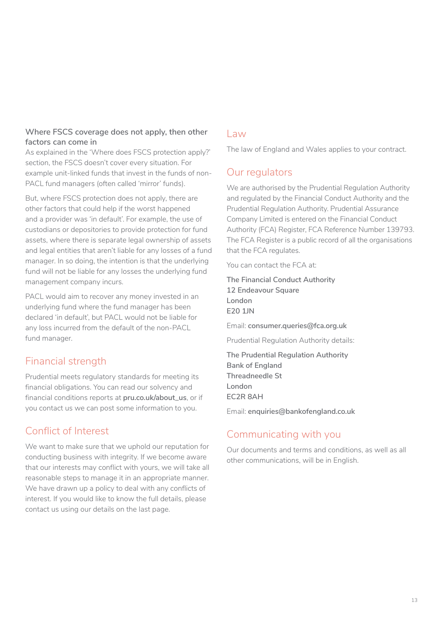#### **Where FSCS coverage does not apply, then other factors can come in**

As explained in the 'Where does FSCS protection apply?' section, the FSCS doesn't cover every situation. For example unit-linked funds that invest in the funds of non-PACL fund managers (often called 'mirror' funds).

But, where FSCS protection does not apply, there are other factors that could help if the worst happened and a provider was 'in default'. For example, the use of custodians or depositories to provide protection for fund assets, where there is separate legal ownership of assets and legal entities that aren't liable for any losses of a fund manager. In so doing, the intention is that the underlying fund will not be liable for any losses the underlying fund management company incurs.

PACL would aim to recover any money invested in an underlying fund where the fund manager has been declared 'in default', but PACL would not be liable for any loss incurred from the default of the non-PACL fund manager.

# Financial strength

Prudential meets regulatory standards for meeting its financial obligations. You can read our solvency and financial conditions reports at **[pru.co.uk/about\\_us](https://www.pru.co.uk/about/?utm_source=redirect&utm_medium=301&utm_campaign=/about_us/)**, or if you contact us we can post some information to you.

# Conflict of Interest

We want to make sure that we uphold our reputation for conducting business with integrity. If we become aware that our interests may conflict with yours, we will take all reasonable steps to manage it in an appropriate manner. We have drawn up a policy to deal with any conflicts of interest. If you would like to know the full details, please contact us using our details on the last page.

#### Law

The law of England and Wales applies to your contract.

# Our regulators

We are authorised by the Prudential Regulation Authority and regulated by the Financial Conduct Authority and the Prudential Regulation Authority. Prudential Assurance Company Limited is entered on the Financial Conduct Authority (FCA) Register, FCA Reference Number 139793. The FCA Register is a public record of all the organisations that the FCA regulates.

You can contact the FCA at:

**The Financial Conduct Authority 12 Endeavour Square London E20 1JN** 

Email: **consumer.queries@fca.org.uk** 

Prudential Regulation Authority details:

**The Prudential Regulation Authority Bank of England Threadneedle St London EC2R 8AH** 

Email: **enquiries@bankofengland.co.uk**

# Communicating with you

Our documents and terms and conditions, as well as all other communications, will be in English.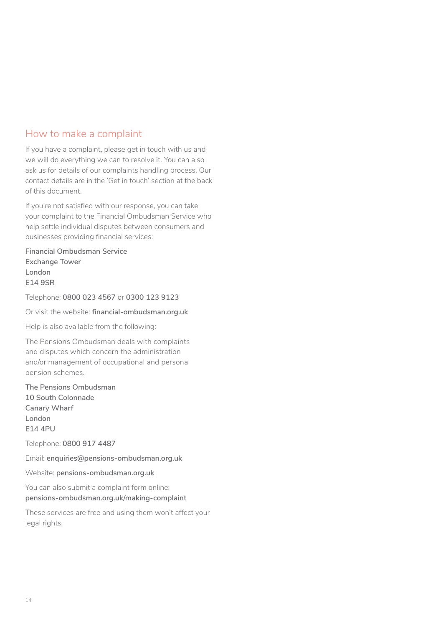### How to make a complaint

If you have a complaint, please get in touch with us and we will do everything we can to resolve it. You can also ask us for details of our complaints handling process. Our contact details are in the 'Get in touch' section at the back of this document.

If you're not satisfied with our response, you can take your complaint to the Financial Ombudsman Service who help settle individual disputes between consumers and businesses providing financial services:

**Financial Ombudsman Service Exchange Tower London E14 9SR**

Telephone: **0800 023 4567** or **0300 123 9123**

Or visit the website: **[financial-ombudsman.org.uk](https://www.financial-ombudsman.org.uk/)**

Help is also available from the following:

The Pensions Ombudsman deals with complaints and disputes which concern the administration and/or management of occupational and personal pension schemes.

**The Pensions Ombudsman 10 South Colonnade Canary Wharf London E14 4PU**

Telephone: **0800 917 4487**

Email: **enquiries@pensions-ombudsman.org.uk**

Website: **[pensions-ombudsman.org.uk](https://www.pensions-ombudsman.org.uk/)**

You can also submit a complaint form online: **[pensions-ombudsman.org.uk/making-complaint](https://www.pensions-ombudsman.org.uk/making-complaint)**

These services are free and using them won't affect your legal rights.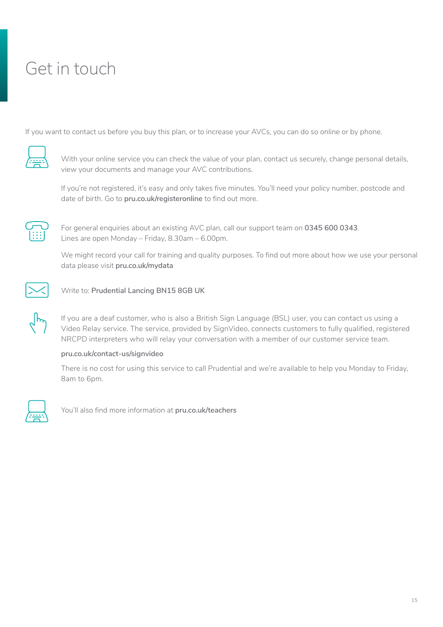# <span id="page-14-0"></span>Get in touch

If you want to contact us before you buy this plan, or to increase your AVCs, you can do so online or by phone.



With your online service you can check the value of your plan, contact us securely, change personal details, view your documents and manage your AVC contributions.

If you're not registered, it's easy and only takes five minutes. You'll need your policy number, postcode and date of birth. Go to **[pru.co.uk/registeronline](http://www.pru.co.uk/registeronline )** to find out more.



For general enquiries about an existing AVC plan, call our support team on **0345 600 0343**. Lines are open Monday – Friday, 8.30am – 6.00pm.

We might record your call for training and quality purposes. To find out more about how we use your personal data please visit **[pru.co.uk/mydata](http://www.pru.co.uk/mydata)**



Write to: **Prudential Lancing BN15 8GB UK**

If you are a deaf customer, who is also a British Sign Language (BSL) user, you can contact us using a Video Relay service. The service, provided by SignVideo, connects customers to fully qualified, registered NRCPD interpreters who will relay your conversation with a member of our customer service team.

#### **[pru.co.uk/contact-us/signvideo](https://www.pru.co.uk/contact-us/signvideo/)**

There is no cost for using this service to call Prudential and we're available to help you Monday to Friday, 8am to 6pm.



You'll also find more information at **[pru.co.uk/teachers](http://www.pru.co.uk/teachers)**